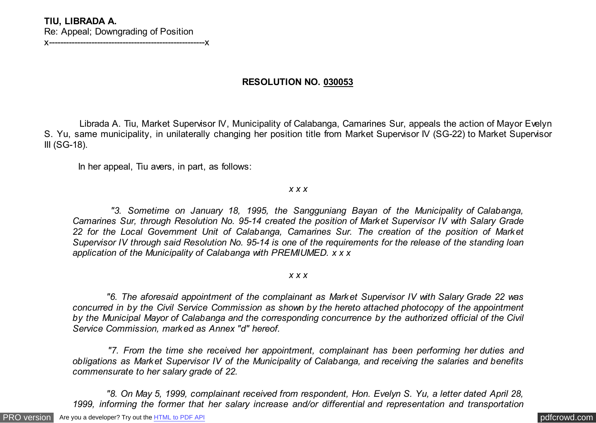## **TIU, LIBRADA A.** Re: Appeal; Downgrading of Position x-------------------------------------------------------x

**RESOLUTION NO. 030053**

 Librada A. Tiu, Market Supervisor IV, Municipality of Calabanga, Camarines Sur, appeals the action of Mayor Evelyn S. Yu, same municipality, in unilaterally changing her position title from Market Supervisor IV (SG-22) to Market Supervisor III (SG-18).

In her appeal, Tiu avers, in part, as follows:

*x x x*

 *"3. Sometime on January 18, 1995, the Sangguniang Bayan of the Municipality of Calabanga, Camarines Sur, through Resolution No. 95-14 created the position of Market Supervisor IV with Salary Grade 22 for the Local Government Unit of Calabanga, Camarines Sur. The creation of the position of Market Supervisor IV through said Resolution No. 95-14 is one of the requirements for the release of the standing loan application of the Municipality of Calabanga with PREMIUMED. x x x*

*x x x*

 *"6. The aforesaid appointment of the complainant as Market Supervisor IV with Salary Grade 22 was concurred in by the Civil Service Commission as shown by the hereto attached photocopy of the appointment by the Municipal Mayor of Calabanga and the corresponding concurrence by the authorized official of the Civil Service Commission, marked as Annex "d" hereof.*

 *"7. From the time she received her appointment, complainant has been performing her duties and obligations as Market Supervisor IV of the Municipality of Calabanga, and receiving the salaries and benefits commensurate to her salary grade of 22.*

 *"8. On May 5, 1999, complainant received from respondent, Hon. Evelyn S. Yu, a letter dated April 28, 1999, informing the former that her salary increase and/or differential and representation and transportation*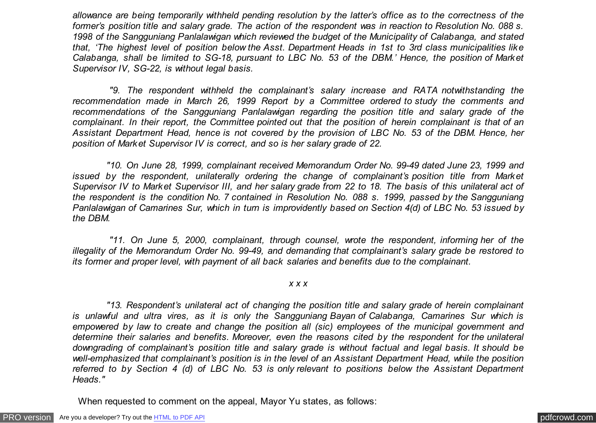*allowance are being temporarily withheld pending resolution by the latter's office as to the correctness of the former's position title and salary grade. The action of the respondent was in reaction to Resolution No. 088 s. 1998 of the Sangguniang Panlalawigan which reviewed the budget of the Municipality of Calabanga, and stated that, 'The highest level of position below the Asst. Department Heads in 1st to 3rd class municipalities like Calabanga, shall be limited to SG-18, pursuant to LBC No. 53 of the DBM.' Hence, the position of Market Supervisor IV, SG-22, is without legal basis.*

 *"9. The respondent withheld the complainant's salary increase and RATA notwithstanding the recommendation made in March 26, 1999 Report by a Committee ordered to study the comments and recommendations of the Sangguniang Panlalawigan regarding the position title and salary grade of the complainant. In their report, the Committee pointed out that the position of herein complainant is that of an Assistant Department Head, hence is not covered by the provision of LBC No. 53 of the DBM. Hence, her position of Market Supervisor IV is correct, and so is her salary grade of 22.*

 *"10. On June 28, 1999, complainant received Memorandum Order No. 99-49 dated June 23, 1999 and issued by the respondent, unilaterally ordering the change of complainant's position title from Market Supervisor IV to Market Supervisor III, and her salary grade from 22 to 18. The basis of this unilateral act of the respondent is the condition No. 7 contained in Resolution No. 088 s. 1999, passed by the Sangguniang Panlalawigan of Camarines Sur, which in turn is improvidently based on Section 4(d) of LBC No. 53 issued by the DBM.*

 *"11. On June 5, 2000, complainant, through counsel, wrote the respondent, informing her of the illegality of the Memorandum Order No. 99-49, and demanding that complainant's salary grade be restored to its former and proper level, with payment of all back salaries and benefits due to the complainant.*

*x x x*

 *"13. Respondent's unilateral act of changing the position title and salary grade of herein complainant is unlawful and ultra vires, as it is only the Sangguniang Bayan of Calabanga, Camarines Sur which is empowered by law to create and change the position all (sic) employees of the municipal government and determine their salaries and benefits. Moreover, even the reasons cited by the respondent for the unilateral downgrading of complainant's position title and salary grade is without factual and legal basis. It should be well-emphasized that complainant's position is in the level of an Assistant Department Head, while the position referred to by Section 4 (d) of LBC No. 53 is only relevant to positions below the Assistant Department Heads."*

When requested to comment on the appeal, Mayor Yu states, as follows: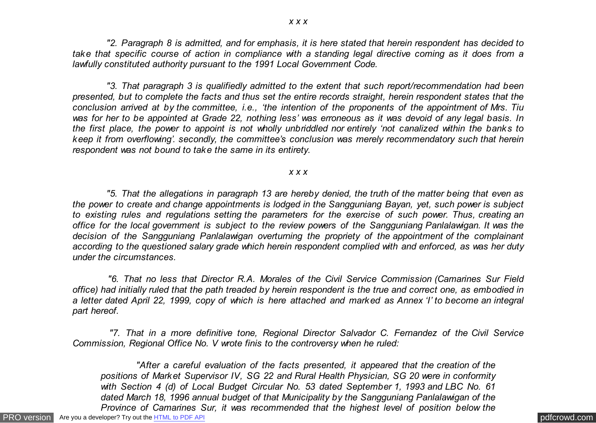*"2. Paragraph 8 is admitted, and for emphasis, it is here stated that herein respondent has decided to take that specific course of action in compliance with a standing legal directive coming as it does from a lawfully constituted authority pursuant to the 1991 Local Government Code.*

 *"3. That paragraph 3 is qualifiedly admitted to the extent that such report/recommendation had been presented, but to complete the facts and thus set the entire records straight, herein respondent states that the conclusion arrived at by the committee, i.e., 'the intention of the proponents of the appointment of Mrs. Tiu was for her to be appointed at Grade 22, nothing less' was erroneous as it was devoid of any legal basis. In the first place, the power to appoint is not wholly unbriddled nor entirely 'not canalized within the banks to keep it from overflowing'. secondly, the committee's conclusion was merely recommendatory such that herein respondent was not bound to take the same in its entirety.*

### *x x x*

 *"5. That the allegations in paragraph 13 are hereby denied, the truth of the matter being that even as the power to create and change appointments is lodged in the Sangguniang Bayan, yet, such power is subject to existing rules and regulations setting the parameters for the exercise of such power. Thus, creating an office for the local government is subject to the review powers of the Sangguniang Panlalawigan. It was the decision of the Sangguniang Panlalawigan overturning the propriety of the appointment of the complainant according to the questioned salary grade which herein respondent complied with and enforced, as was her duty under the circumstances.*

 *"6. That no less that Director R.A. Morales of the Civil Service Commission (Camarines Sur Field office) had initially ruled that the path treaded by herein respondent is the true and correct one, as embodied in a letter dated April 22, 1999, copy of which is here attached and marked as Annex 'I' to become an integral part hereof.*

 *"7. That in a more definitive tone, Regional Director Salvador C. Fernandez of the Civil Service Commission, Regional Office No. V wrote finis to the controversy when he ruled:*

 *"After a careful evaluation of the facts presented, it appeared that the creation of the positions of Market Supervisor IV, SG 22 and Rural Health Physician, SG 20 were in conformity with Section 4 (d) of Local Budget Circular No. 53 dated September 1, 1993 and LBC No. 61 dated March 18, 1996 annual budget of that Municipality by the Sangguniang Panlalawigan of the Province of Camarines Sur, it was recommended that the highest level of position below the*

[PRO version](http://pdfcrowd.com/customize/) Are you a developer? Try out th[e HTML to PDF API](http://pdfcrowd.com/html-to-pdf-api/?ref=pdf) process and the example of the HTML to PDF API [pdfcrowd.com](http://pdfcrowd.com)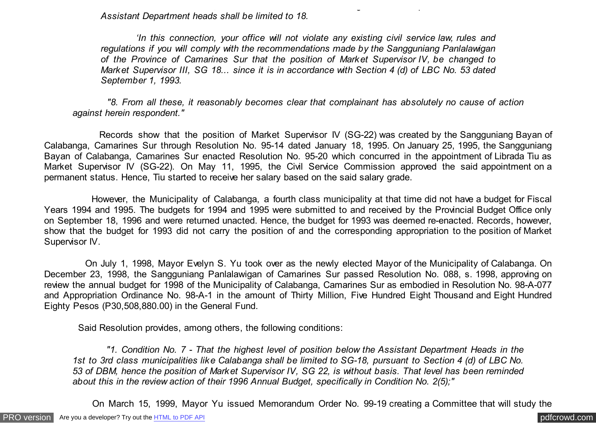*Assistant Department heads shall be limited to 18.*

 *'In this connection, your office will not violate any existing civil service law, rules and regulations if you will comply with the recommendations made by the Sangguniang Panlalawigan of the Province of Camarines Sur that the position of Market Supervisor IV, be changed to Market Supervisor III, SG 18... since it is in accordance with Section 4 (d) of LBC No. 53 dated September 1, 1993.*

*Province of Camarines Sur, it was recommended that the highest level of position below the*

 *"8. From all these, it reasonably becomes clear that complainant has absolutely no cause of action against herein respondent."*

 Records show that the position of Market Supervisor IV (SG-22) was created by the Sangguniang Bayan of Calabanga, Camarines Sur through Resolution No. 95-14 dated January 18, 1995. On January 25, 1995, the Sangguniang Bayan of Calabanga, Camarines Sur enacted Resolution No. 95-20 which concurred in the appointment of Librada Tiu as Market Supervisor IV (SG-22). On May 11, 1995, the Civil Service Commission approved the said appointment on a permanent status. Hence, Tiu started to receive her salary based on the said salary grade.

 However, the Municipality of Calabanga, a fourth class municipality at that time did not have a budget for Fiscal Years 1994 and 1995. The budgets for 1994 and 1995 were submitted to and received by the Provincial Budget Office only on September 18, 1996 and were returned unacted. Hence, the budget for 1993 was deemed re-enacted. Records, however, show that the budget for 1993 did not carry the position of and the corresponding appropriation to the position of Market Supervisor IV.

 On July 1, 1998, Mayor Evelyn S. Yu took over as the newly elected Mayor of the Municipality of Calabanga. On December 23, 1998, the Sangguniang Panlalawigan of Camarines Sur passed Resolution No. 088, s. 1998, approving on review the annual budget for 1998 of the Municipality of Calabanga, Camarines Sur as embodied in Resolution No. 98-A-077 and Appropriation Ordinance No. 98-A-1 in the amount of Thirty Million, Five Hundred Eight Thousand and Eight Hundred Eighty Pesos (P30,508,880.00) in the General Fund.

Said Resolution provides, among others, the following conditions:

 *"1. Condition No. 7 - That the highest level of position below the Assistant Department Heads in the 1st to 3rd class municipalities like Calabanga shall be limited to SG-18, pursuant to Section 4 (d) of LBC No. 53 of DBM, hence the position of Market Supervisor IV, SG 22, is without basis. That level has been reminded about this in the review action of their 1996 Annual Budget, specifically in Condition No. 2(5);"*

On March 15, 1999, Mayor Yu issued Memorandum Order No. 99-19 creating a Committee that will study the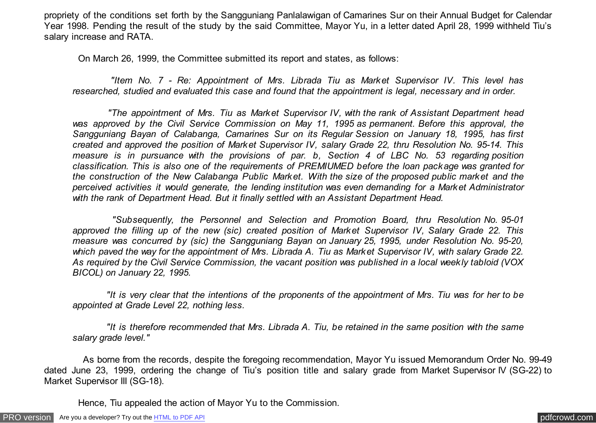propriety of the conditions set forth by the Sangguniang Panlalawigan of Camarines Sur on their Annual Budget for Calendar Year 1998. Pending the result of the study by the said Committee, Mayor Yu, in a letter dated April 28, 1999 withheld Tiu's salary increase and RATA.

On March 26, 1999, the Committee submitted its report and states, as follows:

 *"Item No. 7 - Re: Appointment of Mrs. Librada Tiu as Market Supervisor IV. This level has researched, studied and evaluated this case and found that the appointment is legal, necessary and in order.*

 *"The appointment of Mrs. Tiu as Market Supervisor IV, with the rank of Assistant Department head was approved by the Civil Service Commission on May 11, 1995 as permanent. Before this approval, the Sangguniang Bayan of Calabanga, Camarines Sur on its Regular Session on January 18, 1995, has first created and approved the position of Market Supervisor IV, salary Grade 22, thru Resolution No. 95-14. This measure is in pursuance with the provisions of par. b, Section 4 of LBC No. 53 regarding position classification. This is also one of the requirements of PREMIUMED before the loan package was granted for the construction of the New Calabanga Public Market. With the size of the proposed public market and the perceived activities it would generate, the lending institution was even demanding for a Market Administrator with the rank of Department Head. But it finally settled with an Assistant Department Head.*

 *"Subsequently, the Personnel and Selection and Promotion Board, thru Resolution No. 95-01 approved the filling up of the new (sic) created position of Market Supervisor IV, Salary Grade 22. This measure was concurred by (sic) the Sangguniang Bayan on January 25, 1995, under Resolution No. 95-20, which paved the way for the appointment of Mrs. Librada A. Tiu as Market Supervisor IV, with salary Grade 22. As required by the Civil Service Commission, the vacant position was published in a local weekly tabloid (VOX BICOL) on January 22, 1995.*

 *"It is very clear that the intentions of the proponents of the appointment of Mrs. Tiu was for her to be appointed at Grade Level 22, nothing less.*

 *"It is therefore recommended that Mrs. Librada A. Tiu, be retained in the same position with the same salary grade level."*

 As borne from the records, despite the foregoing recommendation, Mayor Yu issued Memorandum Order No. 99-49 dated June 23, 1999, ordering the change of Tiu's position title and salary grade from Market Supervisor IV (SG-22) to Market Supervisor III (SG-18).

Hence, Tiu appealed the action of Mayor Yu to the Commission.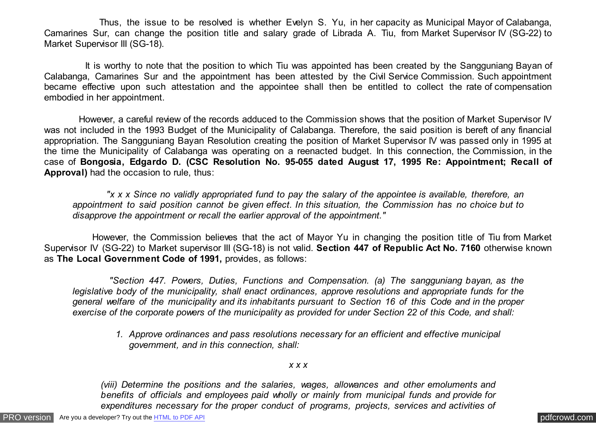Thus, the issue to be resolved is whether Evelyn S. Yu, in her capacity as Municipal Mayor of Calabanga, Camarines Sur, can change the position title and salary grade of Librada A. Tiu, from Market Supervisor IV (SG-22) to Market Supervisor III (SG-18).

 It is worthy to note that the position to which Tiu was appointed has been created by the Sangguniang Bayan of Calabanga, Camarines Sur and the appointment has been attested by the Civil Service Commission. Such appointment became effective upon such attestation and the appointee shall then be entitled to collect the rate of compensation embodied in her appointment.

 However, a careful review of the records adduced to the Commission shows that the position of Market Supervisor IV was not included in the 1993 Budget of the Municipality of Calabanga. Therefore, the said position is bereft of any financial appropriation. The Sangguniang Bayan Resolution creating the position of Market Supervisor IV was passed only in 1995 at the time the Municipality of Calabanga was operating on a reenacted budget. In this connection, the Commission, in the case of **Bongosia, Edgardo D. (CSC Resolution No. 95-055 dated August 17, 1995 Re: Appointment; Recall of Approval)** had the occasion to rule, thus:

 *"x x x Since no validly appropriated fund to pay the salary of the appointee is available, therefore, an appointment to said position cannot be given effect. In this situation, the Commission has no choice but to disapprove the appointment or recall the earlier approval of the appointment."*

 However, the Commission believes that the act of Mayor Yu in changing the position title of Tiu from Market Supervisor IV (SG-22) to Market supervisor III (SG-18) is not valid. **Section 447 of Republic Act No. 7160** otherwise known as **The Local Government Code of 1991,** provides, as follows:

 *"Section 447. Powers, Duties, Functions and Compensation. (a) The sangguniang bayan, as the legislative body of the municipality, shall enact ordinances, approve resolutions and appropriate funds for the general welfare of the municipality and its inhabitants pursuant to Section 16 of this Code and in the proper exercise of the corporate powers of the municipality as provided for under Section 22 of this Code, and shall:*

*1. Approve ordinances and pass resolutions necessary for an efficient and effective municipal government, and in this connection, shall:*

#### *x x x*

*(viii) Determine the positions and the salaries, wages, allowances and other emoluments and benefits of officials and employees paid wholly or mainly from municipal funds and provide for expenditures necessary for the proper conduct of programs, projects, services and activities of*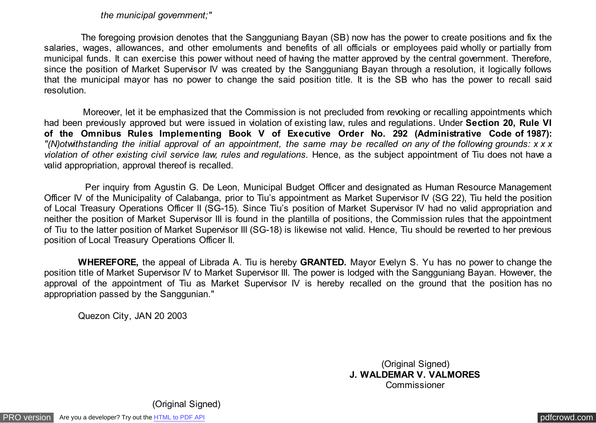## *the municipal government;"*

 The foregoing provision denotes that the Sangguniang Bayan (SB) now has the power to create positions and fix the salaries, wages, allowances, and other emoluments and benefits of all officials or employees paid wholly or partially from municipal funds. It can exercise this power without need of having the matter approved by the central government. Therefore, since the position of Market Supervisor IV was created by the Sangguniang Bayan through a resolution, it logically follows that the municipal mayor has no power to change the said position title. It is the SB who has the power to recall said resolution.

 Moreover, let it be emphasized that the Commission is not precluded from revoking or recalling appointments which had been previously approved but were issued in violation of existing law, rules and regulations. Under **Section 20, Rule VI of the Omnibus Rules Implementing Book V of Executive Order No. 292 (Administrative Code of 1987):** *"(N)otwithstanding the initial approval of an appointment, the same may be recalled on any of the following grounds: x x x violation of other existing civil service law, rules and regulations.* Hence, as the subject appointment of Tiu does not have a valid appropriation, approval thereof is recalled.

 Per inquiry from Agustin G. De Leon, Municipal Budget Officer and designated as Human Resource Management Officer IV of the Municipality of Calabanga, prior to Tiu's appointment as Market Supervisor IV (SG 22), Tiu held the position of Local Treasury Operations Officer II (SG-15). Since Tiu's position of Market Supervisor IV had no valid appropriation and neither the position of Market Supervisor III is found in the plantilla of positions, the Commission rules that the appointment of Tiu to the latter position of Market Supervisor III (SG-18) is likewise not valid. Hence, Tiu should be reverted to her previous position of Local Treasury Operations Officer II.

 **WHEREFORE,** the appeal of Librada A. Tiu is hereby **GRANTED.** Mayor Evelyn S. Yu has no power to change the position title of Market Supervisor IV to Market Supervisor III. The power is lodged with the Sangguniang Bayan. However, the approval of the appointment of Tiu as Market Supervisor IV is hereby recalled on the ground that the position has no appropriation passed by the Sanggunian."

Quezon City, JAN 20 2003

(Original Signed) **J. WALDEMAR V. VALMORES** Commissioner

(Original Signed)